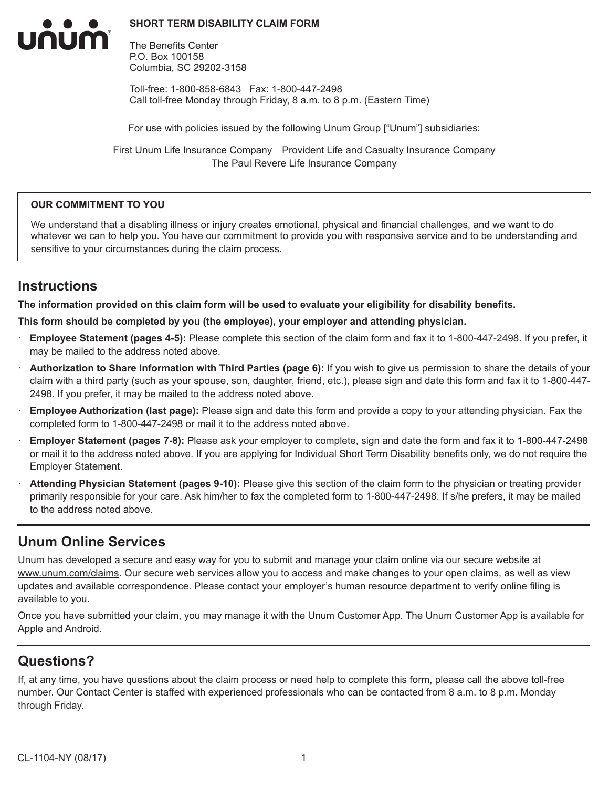#### **SHORT TERM DISABILITY CLAIM FORM**



The Benefits Center P.O. Box 100158 Columbia, SC 29202-3158

Toll-free: 1-800-858-6843 Fax: 1-800-447-2498 Call toll-free Monday through Friday, 8 a.m. to 8 p.m. (Eastern Time)

For use with policies issued by the following Unum Group ["Unum"] subsidiaries:

First Unum Life Insurance Company Provident Life and Casualty Insurance Company The Paul Revere Life Insurance Company

#### **OUR COMMITMENT TO YOU**

We understand that a disabling illness or injury creates emotional, physical and financial challenges, and we want to do whatever we can to help you. You have our commitment to provide you with responsive service and to be understanding and sensitive to your circumstances during the claim process.

## **Instructions**

**The information provided on this claim form will be used to evaluate your eligibility for disability benefits.**

**This form should be completed by you (the employee), your employer and attending physician.**

- · **Employee Statement (pages 4-5):** Please complete this section of the claim form and fax it to 1-800-447-2498. If you prefer, it may be mailed to the address noted above.
- · **Authorization to Share Information with Third Parties (page 6):** If you wish to give us permission to share the details of your claim with a third party (such as your spouse, son, daughter, friend, etc.), please sign and date this form and fax it to 1-800-447- 2498. If you prefer, it may be mailed to the address noted above.
- · **Employee Authorization (last page):** Please sign and date this form and provide a copy to your attending physician. Fax the completed form to 1-800-447-2498 or mail it to the address noted above.
- · **Employer Statement (pages 7-8):** Please ask your employer to complete, sign and date the form and fax it to 1-800-447-2498 or mail it to the address noted above. If you are applying for Individual Short Term Disability benefits only, we do not require the Employer Statement.
- Attending Physician Statement (pages 9-10): Please give this section of the claim form to the physician or treating provider primarily responsible for your care. Ask him/her to fax the completed form to 1-800-447-2498. If s/he prefers, it may be mailed to the address noted above.

# **Unum Online Services**

Unum has developed a secure and easy way for you to submit and manage your claim online via our secure website at www.unum.com/claims. Our secure web services allow you to access and make changes to your open claims, as well as view updates and available correspondence. Please contact your employer's human resource department to verify online filing is available to you.

Once you have submitted your claim, you may manage it with the Unum Customer App. The Unum Customer App is available for Apple and Android.

# **Questions?**

If, at any time, you have questions about the claim process or need help to complete this form, please call the above toll-free number. Our Contact Center is staffed with experienced professionals who can be contacted from 8 a.m. to 8 p.m. Monday through Friday.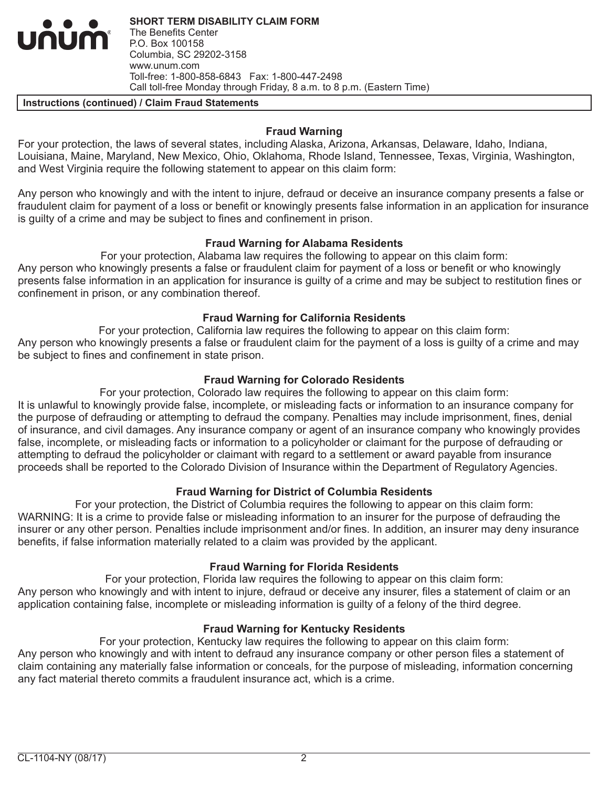**SHORT TERM DISABILITY CLAIM FORM** The Benefits Center P.O. Box 100158 Columbia, SC 29202-3158 www.unum.com Toll-free: 1-800-858-6843 Fax: 1-800-447-2498 Call toll-free Monday through Friday, 8 a.m. to 8 p.m. (Eastern Time)

#### **Instructions (continued) / Claim Fraud Statements**

INUM

#### **Fraud Warning**

For your protection, the laws of several states, including Alaska, Arizona, Arkansas, Delaware, Idaho, Indiana, Louisiana, Maine, Maryland, New Mexico, Ohio, Oklahoma, Rhode Island, Tennessee, Texas, Virginia, Washington, and West Virginia require the following statement to appear on this claim form:

Any person who knowingly and with the intent to injure, defraud or deceive an insurance company presents a false or fraudulent claim for payment of a loss or benefit or knowingly presents false information in an application for insurance is guilty of a crime and may be subject to fines and confinement in prison.

#### **Fraud Warning for Alabama Residents**

For your protection, Alabama law requires the following to appear on this claim form: Any person who knowingly presents a false or fraudulent claim for payment of a loss or benefit or who knowingly presents false information in an application for insurance is guilty of a crime and may be subject to restitution fines or confinement in prison, or any combination thereof.

## **Fraud Warning for California Residents**

For your protection, California law requires the following to appear on this claim form: Any person who knowingly presents a false or fraudulent claim for the payment of a loss is guilty of a crime and may be subject to fines and confinement in state prison.

## **Fraud Warning for Colorado Residents**

For your protection, Colorado law requires the following to appear on this claim form: It is unlawful to knowingly provide false, incomplete, or misleading facts or information to an insurance company for the purpose of defrauding or attempting to defraud the company. Penalties may include imprisonment, fines, denial of insurance, and civil damages. Any insurance company or agent of an insurance company who knowingly provides false, incomplete, or misleading facts or information to a policyholder or claimant for the purpose of defrauding or attempting to defraud the policyholder or claimant with regard to a settlement or award payable from insurance proceeds shall be reported to the Colorado Division of Insurance within the Department of Regulatory Agencies.

## **Fraud Warning for District of Columbia Residents**

For your protection, the District of Columbia requires the following to appear on this claim form: WARNING: It is a crime to provide false or misleading information to an insurer for the purpose of defrauding the insurer or any other person. Penalties include imprisonment and/or fines. In addition, an insurer may deny insurance benefits, if false information materially related to a claim was provided by the applicant.

## **Fraud Warning for Florida Residents**

For your protection, Florida law requires the following to appear on this claim form: Any person who knowingly and with intent to injure, defraud or deceive any insurer, files a statement of claim or an application containing false, incomplete or misleading information is guilty of a felony of the third degree.

## **Fraud Warning for Kentucky Residents**

For your protection, Kentucky law requires the following to appear on this claim form: Any person who knowingly and with intent to defraud any insurance company or other person files a statement of claim containing any materially false information or conceals, for the purpose of misleading, information concerning any fact material thereto commits a fraudulent insurance act, which is a crime.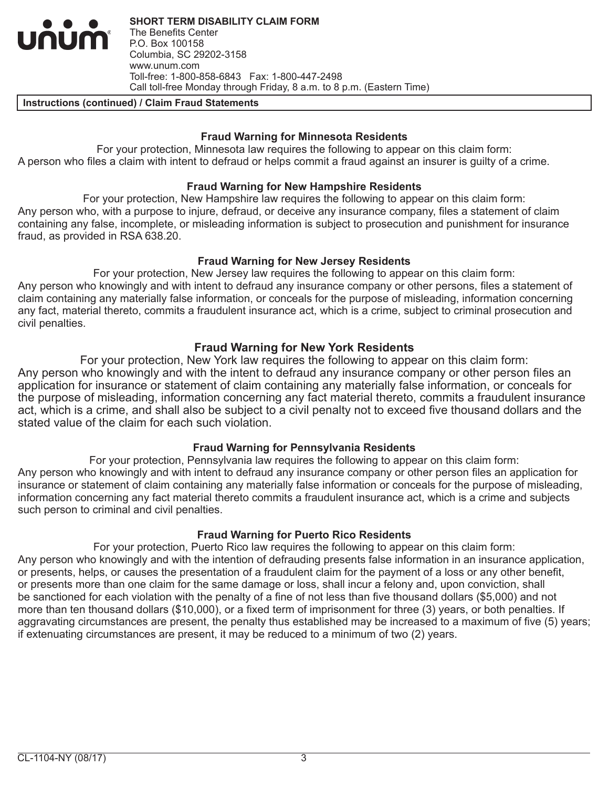**SHORT TERM DISABILITY CLAIM FORM** The Benefits Center P.O. Box 100158 Columbia, SC 29202-3158 www.unum.com Toll-free: 1-800-858-6843 Fax: 1-800-447-2498 Call toll-free Monday through Friday, 8 a.m. to 8 p.m. (Eastern Time)

#### **Instructions (continued) / Claim Fraud Statements**

num

#### **Fraud Warning for Minnesota Residents**

For your protection, Minnesota law requires the following to appear on this claim form: A person who files a claim with intent to defraud or helps commit a fraud against an insurer is guilty of a crime.

#### **Fraud Warning for New Hampshire Residents**

For your protection, New Hampshire law requires the following to appear on this claim form: Any person who, with a purpose to injure, defraud, or deceive any insurance company, files a statement of claim containing any false, incomplete, or misleading information is subject to prosecution and punishment for insurance fraud, as provided in RSA 638.20.

#### **Fraud Warning for New Jersey Residents**

For your protection, New Jersey law requires the following to appear on this claim form: Any person who knowingly and with intent to defraud any insurance company or other persons, files a statement of claim containing any materially false information, or conceals for the purpose of misleading, information concerning any fact, material thereto, commits a fraudulent insurance act, which is a crime, subject to criminal prosecution and civil penalties.

## **Fraud Warning for New York Residents**

For your protection, New York law requires the following to appear on this claim form: Any person who knowingly and with the intent to defraud any insurance company or other person files an application for insurance or statement of claim containing any materially false information, or conceals for the purpose of misleading, information concerning any fact material thereto, commits a fraudulent insurance act, which is a crime, and shall also be subject to a civil penalty not to exceed five thousand dollars and the stated value of the claim for each such violation.

## **Fraud Warning for Pennsylvania Residents**

For your protection, Pennsylvania law requires the following to appear on this claim form: Any person who knowingly and with intent to defraud any insurance company or other person files an application for insurance or statement of claim containing any materially false information or conceals for the purpose of misleading, information concerning any fact material thereto commits a fraudulent insurance act, which is a crime and subjects such person to criminal and civil penalties.

## **Fraud Warning for Puerto Rico Residents**

For your protection, Puerto Rico law requires the following to appear on this claim form: Any person who knowingly and with the intention of defrauding presents false information in an insurance application, or presents, helps, or causes the presentation of a fraudulent claim for the payment of a loss or any other benefit, or presents more than one claim for the same damage or loss, shall incur a felony and, upon conviction, shall be sanctioned for each violation with the penalty of a fine of not less than five thousand dollars (\$5,000) and not more than ten thousand dollars (\$10,000), or a fixed term of imprisonment for three (3) years, or both penalties. If aggravating circumstances are present, the penalty thus established may be increased to a maximum of five (5) years; if extenuating circumstances are present, it may be reduced to a minimum of two (2) years.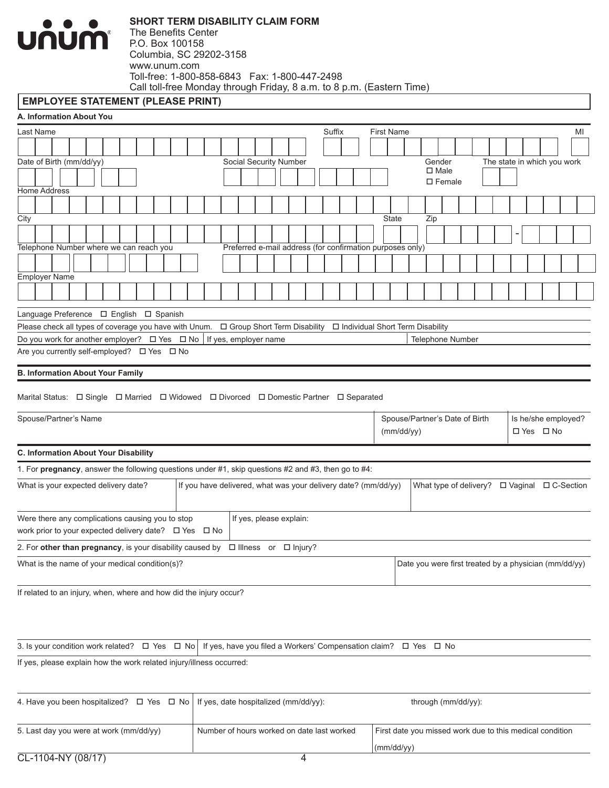

#### **EMPLOYEE STATEMENT (PLEASE PRINT)**

| A. Information About You                                                                                                             |                                                                |                             |                                                       |                             |  |  |
|--------------------------------------------------------------------------------------------------------------------------------------|----------------------------------------------------------------|-----------------------------|-------------------------------------------------------|-----------------------------|--|--|
| Last Name                                                                                                                            |                                                                | Suffix<br><b>First Name</b> |                                                       | MI                          |  |  |
|                                                                                                                                      |                                                                |                             |                                                       |                             |  |  |
| Date of Birth (mm/dd/yy)                                                                                                             | Social Security Number                                         |                             | Gender<br>$\square$ Male                              | The state in which you work |  |  |
|                                                                                                                                      |                                                                |                             | $\square$ Female                                      |                             |  |  |
| <b>Home Address</b>                                                                                                                  |                                                                |                             |                                                       |                             |  |  |
| City                                                                                                                                 |                                                                | <b>State</b>                | Zip                                                   |                             |  |  |
|                                                                                                                                      |                                                                |                             |                                                       |                             |  |  |
| Telephone Number where we can reach you                                                                                              | Preferred e-mail address (for confirmation purposes only)      |                             |                                                       |                             |  |  |
|                                                                                                                                      |                                                                |                             |                                                       |                             |  |  |
| <b>Employer Name</b>                                                                                                                 |                                                                |                             |                                                       |                             |  |  |
|                                                                                                                                      |                                                                |                             |                                                       |                             |  |  |
| Language Preference □ English □ Spanish                                                                                              |                                                                |                             |                                                       |                             |  |  |
|                                                                                                                                      |                                                                |                             |                                                       |                             |  |  |
| Do you work for another employer? □ Yes □ No                                                                                         | If yes, employer name                                          |                             | <b>Telephone Number</b>                               |                             |  |  |
| Are you currently self-employed? □ Yes □ No                                                                                          |                                                                |                             |                                                       |                             |  |  |
| <b>B. Information About Your Family</b>                                                                                              |                                                                |                             |                                                       |                             |  |  |
|                                                                                                                                      |                                                                |                             |                                                       |                             |  |  |
| Marital Status: □ Single □ Married □ Widowed □ Divorced □ Domestic Partner □ Separated                                               |                                                                |                             |                                                       |                             |  |  |
| Spouse/Partner's Name                                                                                                                |                                                                |                             | Spouse/Partner's Date of Birth                        | Is he/she employed?         |  |  |
|                                                                                                                                      |                                                                |                             | (mm/dd/yy)<br>□ Yes □ No                              |                             |  |  |
| C. Information About Your Disability                                                                                                 |                                                                |                             |                                                       |                             |  |  |
| 1. For pregnancy, answer the following questions under #1, skip questions #2 and #3, then go to #4:                                  |                                                                |                             |                                                       |                             |  |  |
| What is your expected delivery date?                                                                                                 | If you have delivered, what was your delivery date? (mm/dd/yy) |                             |                                                       |                             |  |  |
|                                                                                                                                      |                                                                |                             |                                                       |                             |  |  |
| Were there any complications causing you to stop                                                                                     | If yes, please explain:                                        |                             |                                                       |                             |  |  |
| work prior to your expected delivery date? □ Yes □ No                                                                                |                                                                |                             |                                                       |                             |  |  |
| 2. For other than pregnancy, is your disability caused by $\Box$ Illness or $\Box$ Injury?                                           |                                                                |                             |                                                       |                             |  |  |
| What is the name of your medical condition(s)?                                                                                       |                                                                |                             | Date you were first treated by a physician (mm/dd/yy) |                             |  |  |
|                                                                                                                                      |                                                                |                             |                                                       |                             |  |  |
| If related to an injury, when, where and how did the injury occur?                                                                   |                                                                |                             |                                                       |                             |  |  |
|                                                                                                                                      |                                                                |                             |                                                       |                             |  |  |
|                                                                                                                                      |                                                                |                             |                                                       |                             |  |  |
| 3. Is your condition work related? $\Box$ Yes $\Box$ No   If yes, have you filed a Workers' Compensation claim? $\Box$ Yes $\Box$ No |                                                                |                             |                                                       |                             |  |  |
| If yes, please explain how the work related injury/illness occurred:                                                                 |                                                                |                             |                                                       |                             |  |  |
|                                                                                                                                      |                                                                |                             |                                                       |                             |  |  |
| 4. Have you been hospitalized? $\Box$ Yes $\Box$ No   If yes, date hospitalized (mm/dd/yy):                                          |                                                                |                             | through (mm/dd/yy):                                   |                             |  |  |
|                                                                                                                                      |                                                                |                             |                                                       |                             |  |  |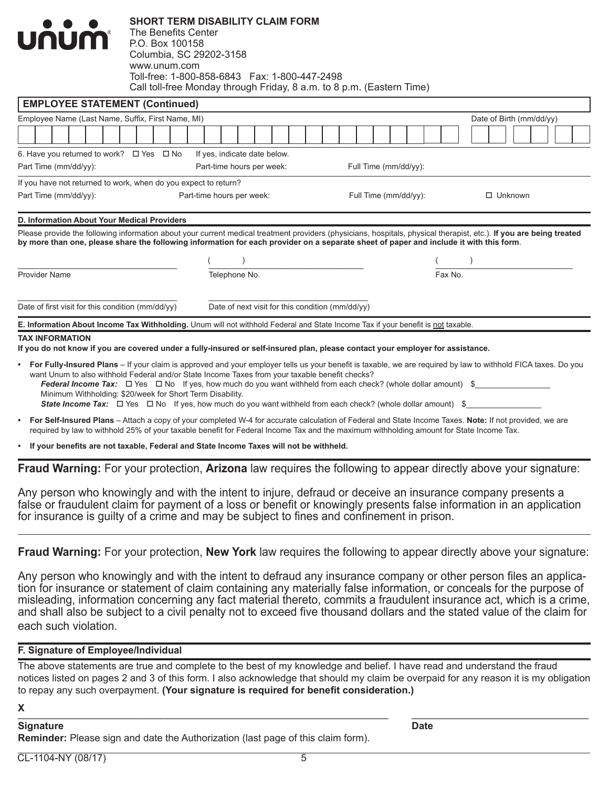| E. Information About Income Tax Withholding. Unum will not withhold Federal and State Income Tax if your benefit is not taxable.       |                                                                |                                                                                                                           |                       |                       |                                                                                                                                                                     |  |  |  |
|----------------------------------------------------------------------------------------------------------------------------------------|----------------------------------------------------------------|---------------------------------------------------------------------------------------------------------------------------|-----------------------|-----------------------|---------------------------------------------------------------------------------------------------------------------------------------------------------------------|--|--|--|
| Date of first visit for this condition (mm/dd/yy)                                                                                      |                                                                | Date of next visit for this condition (mm/dd/yy)                                                                          |                       |                       |                                                                                                                                                                     |  |  |  |
| <b>Provider Name</b>                                                                                                                   |                                                                | Telephone No.                                                                                                             |                       | Fax No.               |                                                                                                                                                                     |  |  |  |
|                                                                                                                                        |                                                                |                                                                                                                           |                       |                       |                                                                                                                                                                     |  |  |  |
| by more than one, please share the following information for each provider on a separate sheet of paper and include it with this form. |                                                                |                                                                                                                           |                       |                       | Please provide the following information about your current medical treatment providers (physicians, hospitals, physical therapist, etc.). If you are being treated |  |  |  |
| D. Information About Your Medical Providers                                                                                            |                                                                |                                                                                                                           |                       |                       |                                                                                                                                                                     |  |  |  |
| Part Time (mm/dd/yy):                                                                                                                  | Part-time hours per week:                                      |                                                                                                                           |                       | Full Time (mm/dd/yy): | $\Box$ Unknown                                                                                                                                                      |  |  |  |
| If you have not returned to work, when do you expect to return?                                                                        |                                                                |                                                                                                                           |                       |                       |                                                                                                                                                                     |  |  |  |
| Part Time (mm/dd/yy):                                                                                                                  |                                                                | Part-time hours per week:                                                                                                 | Full Time (mm/dd/yy): |                       |                                                                                                                                                                     |  |  |  |
| 6. Have you returned to work? $\Box$ Yes $\Box$ No                                                                                     |                                                                | If yes, indicate date below.                                                                                              |                       |                       |                                                                                                                                                                     |  |  |  |
|                                                                                                                                        |                                                                |                                                                                                                           |                       |                       |                                                                                                                                                                     |  |  |  |
| Employee Name (Last Name, Suffix, First Name, MI)                                                                                      |                                                                |                                                                                                                           |                       |                       | Date of Birth (mm/dd/yy)                                                                                                                                            |  |  |  |
| <b>EMPLOYEE STATEMENT (Continued)</b>                                                                                                  |                                                                |                                                                                                                           |                       |                       |                                                                                                                                                                     |  |  |  |
| <b>UNUM</b>                                                                                                                            | P.O. Box 100158<br>Columbia, SC 29202-3158<br>www.unum.com     | Toll-free: 1-800-858-6843    Fax: 1-800-447-2498<br>Call toll-free Monday through Friday, 8 a.m. to 8 p.m. (Eastern Time) |                       |                       |                                                                                                                                                                     |  |  |  |
| $\bullet$ $\bullet$ $\bullet$                                                                                                          | SHURI IERINI DISADILII I ULAIINI FURINI<br>The Benefits Center |                                                                                                                           |                       |                       |                                                                                                                                                                     |  |  |  |

**SHORT TERM DISABILITY CLAIM FORM**

- **• For Fully-Insured Plans** If your claim is approved and your employer tells us your benefit is taxable, we are required by law to withhold FICA taxes. Do you want Unum to also withhold Federal and/or State Income Taxes from your taxable benefit checks? *Federal Income Tax:*  $\square$  Yes  $\square$  No If yes, how much do you want withheld from each check? (whole dollar amount) \$ Minimum Withholding: \$20/week for Short Term Disability. *State Income Tax:*  $\Box$  Yes  $\Box$  No If yes, how much do you want withheld from each check? (whole dollar amount) \$
- **• For Self-Insured Plans** Attach a copy of your completed W-4 for accurate calculation of Federal and State Income Taxes. **Note:** If not provided, we are required by law to withhold 25% of your taxable benefit for Federal Income Tax and the maximum withholding amount for State Income Tax.

**• If your benefits are not taxable, Federal and State Income Taxes will not be withheld.**

**Fraud Warning:** For your protection, **Arizona** law requires the following to appear directly above your signature:

Any person who knowingly and with the intent to injure, defraud or deceive an insurance company presents a false or fraudulent claim for payment of a loss or benefit or knowingly presents false information in an application for insurance is guilty of a crime and may be subject to fines and confinement in prison.

**Fraud Warning:** For your protection, **New York** law requires the following to appear directly above your signature:

Any person who knowingly and with the intent to defraud any insurance company or other person files an application for insurance or statement of claim containing any materially false information, or conceals for the purpose of misleading, information concerning any fact material thereto, commits a fraudulent insurance act, which is a crime, and shall also be subject to a civil penalty not to exceed five thousand dollars and the stated value of the claim for each such violation.

#### **F. Signature of Employee/Individual**

The above statements are true and complete to the best of my knowledge and belief. I have read and understand the fraud notices listed on pages 2 and 3 of this form. I also acknowledge that should my claim be overpaid for any reason it is my obligation to repay any such overpayment. **(Your signature is required for benefit consideration.)**

#### **X** \_\_\_\_\_\_\_\_\_\_\_\_\_\_\_\_\_\_\_\_\_\_\_\_\_\_\_\_\_\_\_\_\_\_\_\_\_\_\_\_\_\_\_\_\_\_\_\_\_\_\_\_\_\_\_\_\_\_\_\_\_\_\_\_\_\_\_ \_\_\_\_\_\_\_\_\_\_\_\_\_\_\_\_\_\_\_\_\_\_\_\_\_\_\_\_\_\_\_\_

#### **Signature Date**

**Reminder:** Please sign and date the Authorization (last page of this claim form).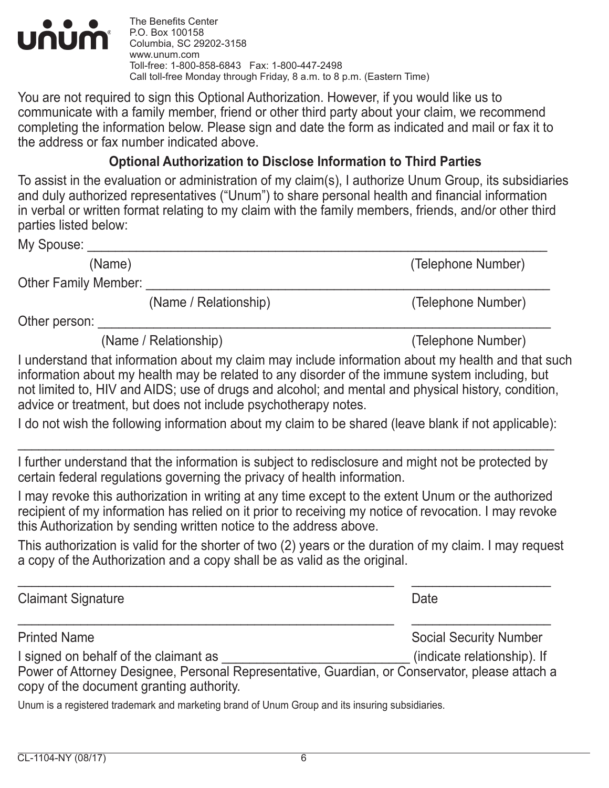

The Benefits Center P.O. Box 100158 Columbia, SC 29202-3158 www.unum.com Toll-free: 1-800-858-6843 Fax: 1-800-447-2498 Call toll-free Monday through Friday, 8 a.m. to 8 p.m. (Eastern Time)

You are not required to sign this Optional Authorization. However, if you would like us to communicate with a family member, friend or other third party about your claim, we recommend completing the information below. Please sign and date the form as indicated and mail or fax it to the address or fax number indicated above.

# **Optional Authorization to Disclose Information to Third Parties**

To assist in the evaluation or administration of my claim(s), I authorize Unum Group, its subsidiaries and duly authorized representatives ("Unum") to share personal health and financial information in verbal or written format relating to my claim with the family members, friends, and/or other third parties listed below:

My Spouse:

(Name) (Telephone Number)

Other Family Member: \_

(Name / Relationship) (Telephone Number)

Other person:

(Name / Relationship) (Telephone Number)

I understand that information about my claim may include information about my health and that such information about my health may be related to any disorder of the immune system including, but not limited to, HIV and AIDS; use of drugs and alcohol; and mental and physical history, condition, advice or treatment, but does not include psychotherapy notes.

I do not wish the following information about my claim to be shared (leave blank if not applicable):

\_\_\_\_\_\_\_\_\_\_\_\_\_\_\_\_\_\_\_\_\_\_\_\_\_\_\_\_\_\_\_\_\_\_\_\_\_\_\_\_\_\_\_\_\_\_\_\_\_\_\_\_\_\_\_\_\_\_\_\_\_\_\_\_\_\_\_\_\_\_\_\_\_\_\_\_\_

I further understand that the information is subject to redisclosure and might not be protected by certain federal regulations governing the privacy of health information.

I may revoke this authorization in writing at any time except to the extent Unum or the authorized recipient of my information has relied on it prior to receiving my notice of revocation. I may revoke this Authorization by sending written notice to the address above.

This authorization is valid for the shorter of two (2) years or the duration of my claim. I may request a copy of the Authorization and a copy shall be as valid as the original.

\_\_\_\_\_\_\_\_\_\_\_\_\_\_\_\_\_\_\_\_\_\_\_\_\_\_\_\_\_\_\_\_\_\_\_\_\_\_\_\_\_\_\_\_\_\_\_\_\_\_\_\_\_\_ \_\_\_\_\_\_\_\_\_\_\_\_\_\_\_\_\_\_\_\_ Claimant Signature **Date** \_\_\_\_\_\_\_\_\_\_\_\_\_\_\_\_\_\_\_\_\_\_\_\_\_\_\_\_\_\_\_\_\_\_\_\_\_\_\_\_\_\_\_\_\_\_\_\_\_\_\_\_\_\_ \_\_\_\_\_\_\_\_\_\_\_\_\_\_\_\_\_\_\_\_ Printed Name **Social Security Number** Social Security Number I signed on behalf of the claimant as  $\blacksquare$  (indicate relationship). If Power of Attorney Designee, Personal Representative, Guardian, or Conservator, please attach a copy of the document granting authority.

Unum is a registered trademark and marketing brand of Unum Group and its insuring subsidiaries.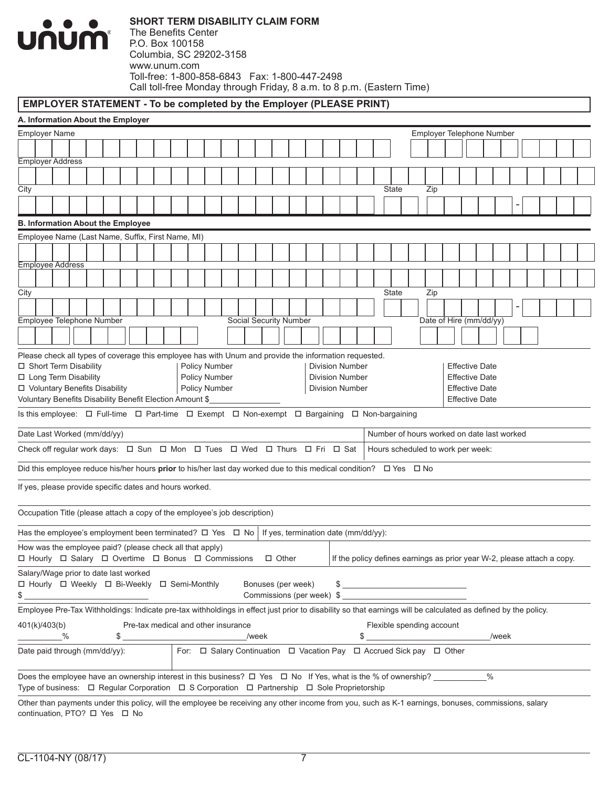# **UNUM**

## **EMPLOYER STATEMENT - To be completed by the Employer (PLEASE PRINT)**

| A. Information About the Employer                                                                                                                                                                    |                                                   |  |  |  |  |                                                 |                                     |  |  |  |       |                        |  |                                                                                          |                                                                                                                                                                                                                                                                                                                                                                                                                                                                              |  |  |                                   |                           |  |      |       |  |  |  |  |
|------------------------------------------------------------------------------------------------------------------------------------------------------------------------------------------------------|---------------------------------------------------|--|--|--|--|-------------------------------------------------|-------------------------------------|--|--|--|-------|------------------------|--|------------------------------------------------------------------------------------------|------------------------------------------------------------------------------------------------------------------------------------------------------------------------------------------------------------------------------------------------------------------------------------------------------------------------------------------------------------------------------------------------------------------------------------------------------------------------------|--|--|-----------------------------------|---------------------------|--|------|-------|--|--|--|--|
| <b>Employer Name</b>                                                                                                                                                                                 |                                                   |  |  |  |  |                                                 |                                     |  |  |  |       |                        |  |                                                                                          |                                                                                                                                                                                                                                                                                                                                                                                                                                                                              |  |  |                                   | Employer Telephone Number |  |      |       |  |  |  |  |
|                                                                                                                                                                                                      |                                                   |  |  |  |  |                                                 |                                     |  |  |  |       |                        |  |                                                                                          |                                                                                                                                                                                                                                                                                                                                                                                                                                                                              |  |  |                                   |                           |  |      |       |  |  |  |  |
| Employer Address                                                                                                                                                                                     |                                                   |  |  |  |  |                                                 |                                     |  |  |  |       |                        |  |                                                                                          |                                                                                                                                                                                                                                                                                                                                                                                                                                                                              |  |  |                                   |                           |  |      |       |  |  |  |  |
|                                                                                                                                                                                                      |                                                   |  |  |  |  |                                                 |                                     |  |  |  |       |                        |  |                                                                                          |                                                                                                                                                                                                                                                                                                                                                                                                                                                                              |  |  |                                   |                           |  |      |       |  |  |  |  |
| City                                                                                                                                                                                                 |                                                   |  |  |  |  |                                                 |                                     |  |  |  |       |                        |  |                                                                                          |                                                                                                                                                                                                                                                                                                                                                                                                                                                                              |  |  | <b>State</b>                      | Zip                       |  |      |       |  |  |  |  |
|                                                                                                                                                                                                      |                                                   |  |  |  |  |                                                 |                                     |  |  |  |       |                        |  |                                                                                          |                                                                                                                                                                                                                                                                                                                                                                                                                                                                              |  |  |                                   |                           |  |      |       |  |  |  |  |
| <b>B. Information About the Employee</b>                                                                                                                                                             |                                                   |  |  |  |  |                                                 |                                     |  |  |  |       |                        |  |                                                                                          |                                                                                                                                                                                                                                                                                                                                                                                                                                                                              |  |  |                                   |                           |  |      |       |  |  |  |  |
|                                                                                                                                                                                                      | Employee Name (Last Name, Suffix, First Name, MI) |  |  |  |  |                                                 |                                     |  |  |  |       |                        |  |                                                                                          |                                                                                                                                                                                                                                                                                                                                                                                                                                                                              |  |  |                                   |                           |  |      |       |  |  |  |  |
|                                                                                                                                                                                                      |                                                   |  |  |  |  |                                                 |                                     |  |  |  |       |                        |  |                                                                                          |                                                                                                                                                                                                                                                                                                                                                                                                                                                                              |  |  |                                   |                           |  |      |       |  |  |  |  |
| <b>Employee Address</b>                                                                                                                                                                              |                                                   |  |  |  |  |                                                 |                                     |  |  |  |       |                        |  |                                                                                          |                                                                                                                                                                                                                                                                                                                                                                                                                                                                              |  |  |                                   |                           |  |      |       |  |  |  |  |
|                                                                                                                                                                                                      |                                                   |  |  |  |  |                                                 |                                     |  |  |  |       |                        |  |                                                                                          |                                                                                                                                                                                                                                                                                                                                                                                                                                                                              |  |  |                                   |                           |  |      |       |  |  |  |  |
| City                                                                                                                                                                                                 |                                                   |  |  |  |  |                                                 |                                     |  |  |  |       |                        |  |                                                                                          |                                                                                                                                                                                                                                                                                                                                                                                                                                                                              |  |  | <b>State</b>                      | Zip                       |  |      |       |  |  |  |  |
|                                                                                                                                                                                                      |                                                   |  |  |  |  |                                                 |                                     |  |  |  |       |                        |  |                                                                                          |                                                                                                                                                                                                                                                                                                                                                                                                                                                                              |  |  |                                   |                           |  |      |       |  |  |  |  |
| Employee Telephone Number                                                                                                                                                                            |                                                   |  |  |  |  |                                                 |                                     |  |  |  |       | Social Security Number |  |                                                                                          |                                                                                                                                                                                                                                                                                                                                                                                                                                                                              |  |  |                                   | Date of Hire (mm/dd/yy)   |  |      |       |  |  |  |  |
|                                                                                                                                                                                                      |                                                   |  |  |  |  |                                                 |                                     |  |  |  |       |                        |  |                                                                                          |                                                                                                                                                                                                                                                                                                                                                                                                                                                                              |  |  |                                   |                           |  |      |       |  |  |  |  |
|                                                                                                                                                                                                      |                                                   |  |  |  |  |                                                 |                                     |  |  |  |       |                        |  |                                                                                          |                                                                                                                                                                                                                                                                                                                                                                                                                                                                              |  |  |                                   |                           |  |      |       |  |  |  |  |
| Please check all types of coverage this employee has with Unum and provide the information requested.<br>□ Short Term Disability<br>Policy Number<br><b>Division Number</b><br><b>Effective Date</b> |                                                   |  |  |  |  |                                                 |                                     |  |  |  |       |                        |  |                                                                                          |                                                                                                                                                                                                                                                                                                                                                                                                                                                                              |  |  |                                   |                           |  |      |       |  |  |  |  |
| □ Long Term Disability<br>Policy Number                                                                                                                                                              |                                                   |  |  |  |  | <b>Division Number</b><br><b>Effective Date</b> |                                     |  |  |  |       |                        |  |                                                                                          |                                                                                                                                                                                                                                                                                                                                                                                                                                                                              |  |  |                                   |                           |  |      |       |  |  |  |  |
| □ Voluntary Benefits Disability<br>Policy Number<br><b>Division Number</b><br><b>Effective Date</b>                                                                                                  |                                                   |  |  |  |  |                                                 |                                     |  |  |  |       |                        |  |                                                                                          |                                                                                                                                                                                                                                                                                                                                                                                                                                                                              |  |  |                                   |                           |  |      |       |  |  |  |  |
| Voluntary Benefits Disability Benefit Election Amount \$<br><b>Effective Date</b>                                                                                                                    |                                                   |  |  |  |  |                                                 |                                     |  |  |  |       |                        |  |                                                                                          |                                                                                                                                                                                                                                                                                                                                                                                                                                                                              |  |  |                                   |                           |  |      |       |  |  |  |  |
| Is this employee: $\Box$ Full-time $\Box$ Part-time $\Box$ Exempt $\Box$ Non-exempt $\Box$ Bargaining $\Box$ Non-bargaining                                                                          |                                                   |  |  |  |  |                                                 |                                     |  |  |  |       |                        |  |                                                                                          |                                                                                                                                                                                                                                                                                                                                                                                                                                                                              |  |  |                                   |                           |  |      |       |  |  |  |  |
| Date Last Worked (mm/dd/yy)<br>Number of hours worked on date last worked                                                                                                                            |                                                   |  |  |  |  |                                                 |                                     |  |  |  |       |                        |  |                                                                                          |                                                                                                                                                                                                                                                                                                                                                                                                                                                                              |  |  |                                   |                           |  |      |       |  |  |  |  |
| Check off regular work days: $\Box$ Sun $\Box$ Mon $\Box$ Tues $\Box$ Wed $\Box$ Thurs $\Box$ Fri $\Box$ Sat                                                                                         |                                                   |  |  |  |  |                                                 |                                     |  |  |  |       |                        |  |                                                                                          |                                                                                                                                                                                                                                                                                                                                                                                                                                                                              |  |  | Hours scheduled to work per week: |                           |  |      |       |  |  |  |  |
| Did this employee reduce his/her hours <b>prior</b> to his/her last day worked due to this medical condition? $\Box$ Yes $\Box$ No                                                                   |                                                   |  |  |  |  |                                                 |                                     |  |  |  |       |                        |  |                                                                                          |                                                                                                                                                                                                                                                                                                                                                                                                                                                                              |  |  |                                   |                           |  |      |       |  |  |  |  |
| If yes, please provide specific dates and hours worked.                                                                                                                                              |                                                   |  |  |  |  |                                                 |                                     |  |  |  |       |                        |  |                                                                                          |                                                                                                                                                                                                                                                                                                                                                                                                                                                                              |  |  |                                   |                           |  |      |       |  |  |  |  |
| Occupation Title (please attach a copy of the employee's job description)                                                                                                                            |                                                   |  |  |  |  |                                                 |                                     |  |  |  |       |                        |  |                                                                                          |                                                                                                                                                                                                                                                                                                                                                                                                                                                                              |  |  |                                   |                           |  |      |       |  |  |  |  |
| Has the employee's employment been terminated? $\Box$ Yes $\Box$ No                                                                                                                                  |                                                   |  |  |  |  |                                                 |                                     |  |  |  |       |                        |  | If yes, termination date (mm/dd/yy):                                                     |                                                                                                                                                                                                                                                                                                                                                                                                                                                                              |  |  |                                   |                           |  |      |       |  |  |  |  |
| How was the employee paid? (please check all that apply)<br>□ Hourly □ Salary □ Overtime □ Bonus □ Commissions                                                                                       |                                                   |  |  |  |  |                                                 |                                     |  |  |  |       | $\Box$ Other           |  |                                                                                          | If the policy defines earnings as prior year W-2, please attach a copy.                                                                                                                                                                                                                                                                                                                                                                                                      |  |  |                                   |                           |  |      |       |  |  |  |  |
| Salary/Wage prior to date last worked                                                                                                                                                                |                                                   |  |  |  |  |                                                 |                                     |  |  |  |       |                        |  |                                                                                          |                                                                                                                                                                                                                                                                                                                                                                                                                                                                              |  |  |                                   |                           |  |      |       |  |  |  |  |
| □ Hourly □ Weekly □ Bi-Weekly □ Semi-Monthly<br>\$                                                                                                                                                   |                                                   |  |  |  |  |                                                 |                                     |  |  |  |       | Bonuses (per week)     |  | Commissions (per week) \$                                                                | $\qquad \qquad \mathsf{S} \qquad \qquad \mathsf{S} \qquad \qquad \qquad \mathsf{S} \qquad \qquad \mathsf{S} \qquad \qquad \mathsf{S} \qquad \qquad \mathsf{S} \qquad \qquad \mathsf{S} \qquad \qquad \mathsf{S} \qquad \qquad \mathsf{S} \qquad \qquad \mathsf{S} \qquad \qquad \mathsf{S} \qquad \qquad \mathsf{S} \qquad \qquad \mathsf{S} \qquad \qquad \mathsf{S} \qquad \qquad \mathsf{S} \qquad \qquad \mathsf{S} \qquad \qquad \mathsf{S} \qquad \qquad \mathsf{S} \$ |  |  |                                   |                           |  |      |       |  |  |  |  |
| Employee Pre-Tax Withholdings: Indicate pre-tax withholdings in effect just prior to disability so that earnings will be calculated as defined by the policy.                                        |                                                   |  |  |  |  |                                                 |                                     |  |  |  |       |                        |  |                                                                                          |                                                                                                                                                                                                                                                                                                                                                                                                                                                                              |  |  |                                   |                           |  |      |       |  |  |  |  |
| 401(k)/403(b)<br>%                                                                                                                                                                                   |                                                   |  |  |  |  |                                                 | Pre-tax medical and other insurance |  |  |  | /week |                        |  |                                                                                          |                                                                                                                                                                                                                                                                                                                                                                                                                                                                              |  |  | Flexible spending account         |                           |  |      | /week |  |  |  |  |
| Date paid through (mm/dd/yy):                                                                                                                                                                        |                                                   |  |  |  |  |                                                 |                                     |  |  |  |       |                        |  | For: $\Box$ Salary Continuation $\Box$ Vacation Pay $\Box$ Accrued Sick pay $\Box$ Other |                                                                                                                                                                                                                                                                                                                                                                                                                                                                              |  |  |                                   |                           |  |      |       |  |  |  |  |
| Does the employee have an ownership interest in this business? $\Box$ Yes $\Box$ No If Yes, what is the % of ownership?                                                                              |                                                   |  |  |  |  |                                                 |                                     |  |  |  |       |                        |  |                                                                                          |                                                                                                                                                                                                                                                                                                                                                                                                                                                                              |  |  |                                   |                           |  | $\%$ |       |  |  |  |  |
| Type of business: □ Regular Corporation □ S Corporation □ Partnership □ Sole Proprietorship                                                                                                          |                                                   |  |  |  |  |                                                 |                                     |  |  |  |       |                        |  |                                                                                          |                                                                                                                                                                                                                                                                                                                                                                                                                                                                              |  |  |                                   |                           |  |      |       |  |  |  |  |
| Other than payments under this policy, will the employee be receiving any other income from you, such as K-1 earnings, bonuses, commissions, salary                                                  |                                                   |  |  |  |  |                                                 |                                     |  |  |  |       |                        |  |                                                                                          |                                                                                                                                                                                                                                                                                                                                                                                                                                                                              |  |  |                                   |                           |  |      |       |  |  |  |  |

continuation, PTO? O Yes O No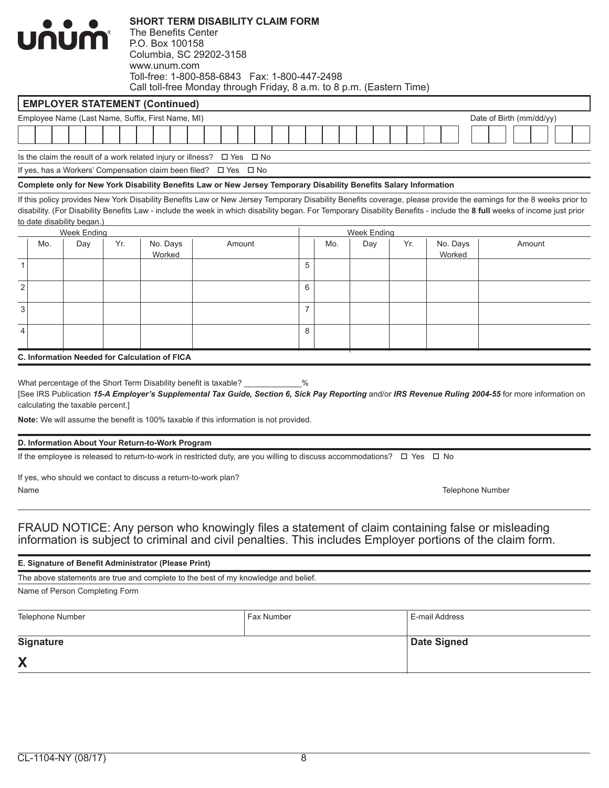|                |                  | <b>บกบท</b> ำ                     |     | The Benefits Center<br>P.O. Box 100158<br>www.unum.com                  | <b>SHORT TERM DISABILITY CLAIM FORM</b><br>Columbia, SC 29202-3158<br>Toll-free: 1-800-858-6843  Fax: 1-800-447-2498<br>Call toll-free Monday through Friday, 8 a.m. to 8 p.m. (Eastern Time)                  |                |     |                           |     |                         |                                                                                                                                                                                                                                                                                                                                                 |
|----------------|------------------|-----------------------------------|-----|-------------------------------------------------------------------------|----------------------------------------------------------------------------------------------------------------------------------------------------------------------------------------------------------------|----------------|-----|---------------------------|-----|-------------------------|-------------------------------------------------------------------------------------------------------------------------------------------------------------------------------------------------------------------------------------------------------------------------------------------------------------------------------------------------|
|                |                  |                                   |     | <b>EMPLOYER STATEMENT (Continued)</b>                                   |                                                                                                                                                                                                                |                |     |                           |     |                         |                                                                                                                                                                                                                                                                                                                                                 |
|                |                  |                                   |     | Employee Name (Last Name, Suffix, First Name, MI)                       |                                                                                                                                                                                                                |                |     |                           |     |                         | Date of Birth (mm/dd/yy)                                                                                                                                                                                                                                                                                                                        |
|                |                  |                                   |     |                                                                         |                                                                                                                                                                                                                |                |     |                           |     |                         |                                                                                                                                                                                                                                                                                                                                                 |
|                |                  |                                   |     | Is the claim the result of a work related injury or illness? $\Box$ Yes | ⊟ No                                                                                                                                                                                                           |                |     |                           |     |                         |                                                                                                                                                                                                                                                                                                                                                 |
|                |                  |                                   |     |                                                                         | If yes, has a Workers' Compensation claim been filed? □ Yes □ No                                                                                                                                               |                |     |                           |     |                         |                                                                                                                                                                                                                                                                                                                                                 |
|                |                  |                                   |     |                                                                         | Complete only for New York Disability Benefits Law or New Jersey Temporary Disability Benefits Salary Information                                                                                              |                |     |                           |     |                         |                                                                                                                                                                                                                                                                                                                                                 |
|                |                  | to date disability began.)        |     |                                                                         |                                                                                                                                                                                                                |                |     |                           |     |                         | If this policy provides New York Disability Benefits Law or New Jersey Temporary Disability Benefits coverage, please provide the earnings for the 8 weeks prior to<br>disability. (For Disability Benefits Law - include the week in which disability began. For Temporary Disability Benefits - include the 8 full weeks of income just prior |
|                | Mo.              | <b>Week Ending</b>                | Yr. | No. Days                                                                | Amount                                                                                                                                                                                                         |                | Mo. | <b>Week Ending</b><br>Day | Yr. | No. Days                | Amount                                                                                                                                                                                                                                                                                                                                          |
|                |                  | Day                               |     | Worked                                                                  |                                                                                                                                                                                                                | 5              |     |                           |     | Worked                  |                                                                                                                                                                                                                                                                                                                                                 |
| 1              |                  |                                   |     |                                                                         |                                                                                                                                                                                                                |                |     |                           |     |                         |                                                                                                                                                                                                                                                                                                                                                 |
| $\overline{2}$ |                  |                                   |     |                                                                         |                                                                                                                                                                                                                | 6              |     |                           |     |                         |                                                                                                                                                                                                                                                                                                                                                 |
| 3              |                  |                                   |     |                                                                         |                                                                                                                                                                                                                | $\overline{7}$ |     |                           |     |                         |                                                                                                                                                                                                                                                                                                                                                 |
| $\overline{4}$ |                  |                                   |     |                                                                         |                                                                                                                                                                                                                | 8              |     |                           |     |                         |                                                                                                                                                                                                                                                                                                                                                 |
|                |                  |                                   |     | C. Information Needed for Calculation of FICA                           |                                                                                                                                                                                                                |                |     |                           |     |                         |                                                                                                                                                                                                                                                                                                                                                 |
|                |                  | calculating the taxable percent.] |     |                                                                         | What percentage of the Short Term Disability benefit is taxable? _________<br>Note: We will assume the benefit is 100% taxable if this information is not provided.                                            | $\%$           |     |                           |     |                         | [See IRS Publication 15-A Employer's Supplemental Tax Guide, Section 6, Sick Pay Reporting and/or IRS Revenue Ruling 2004-55 for more information on                                                                                                                                                                                            |
|                |                  |                                   |     | D. Information About Your Return-to-Work Program                        |                                                                                                                                                                                                                |                |     |                           |     |                         |                                                                                                                                                                                                                                                                                                                                                 |
|                |                  |                                   |     |                                                                         | If the employee is released to return-to-work in restricted duty, are you willing to discuss accommodations? $\Box$ Yes $\Box$ No                                                                              |                |     |                           |     |                         |                                                                                                                                                                                                                                                                                                                                                 |
|                | Name             |                                   |     | If yes, who should we contact to discuss a return-to-work plan?         |                                                                                                                                                                                                                |                |     |                           |     | <b>Telephone Number</b> |                                                                                                                                                                                                                                                                                                                                                 |
|                |                  |                                   |     |                                                                         | FRAUD NOTICE: Any person who knowingly files a statement of claim containing false or misleading<br>information is subject to criminal and civil penalties. This includes Employer portions of the claim form. |                |     |                           |     |                         |                                                                                                                                                                                                                                                                                                                                                 |
|                |                  |                                   |     | E. Signature of Benefit Administrator (Please Print)                    |                                                                                                                                                                                                                |                |     |                           |     |                         |                                                                                                                                                                                                                                                                                                                                                 |
|                |                  |                                   |     |                                                                         | The above statements are true and complete to the best of my knowledge and belief.                                                                                                                             |                |     |                           |     |                         |                                                                                                                                                                                                                                                                                                                                                 |
|                |                  | Name of Person Completing Form    |     |                                                                         |                                                                                                                                                                                                                |                |     |                           |     |                         |                                                                                                                                                                                                                                                                                                                                                 |
|                | Telephone Number |                                   |     |                                                                         | Fax Number                                                                                                                                                                                                     |                |     |                           |     | E-mail Address          |                                                                                                                                                                                                                                                                                                                                                 |

| Telephone Number | Fax Number | E-mail Address |
|------------------|------------|----------------|
| <b>Signature</b> |            | Date Signed    |
| X                |            |                |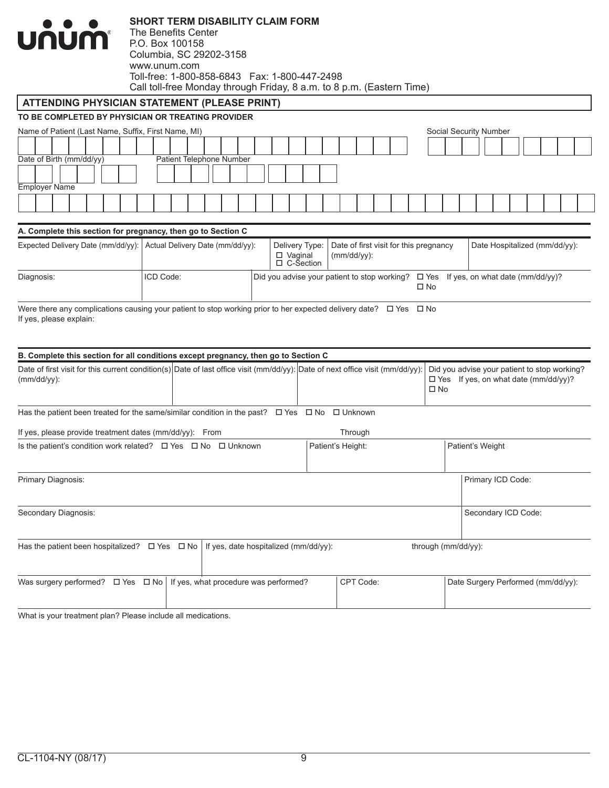

The Benefits Center P.O. Box 100158 Columbia, SC 29202-3158 www.unum.com Toll-free: 1-800-858-6843 Fax: 1-800-447-2498 Call toll-free Monday through Friday, 8 a.m. to 8 p.m. (Eastern Time)

## **ATTENDING PHYSICIAN STATEMENT (PLEASE PRINT)**

#### **TO BE COMPLETED BY PHYSICIAN OR TREATING PROVIDER**

|                          | Name of Patient (Last Name, Suffix, First Name, MI) |  |  |  |  |  |  |  |  |
|--------------------------|-----------------------------------------------------|--|--|--|--|--|--|--|--|
|                          |                                                     |  |  |  |  |  |  |  |  |
| Date of Birth (mm/dd/yy) | Patient Telephone Number                            |  |  |  |  |  |  |  |  |
|                          |                                                     |  |  |  |  |  |  |  |  |
| <b>Employer Name</b>     |                                                     |  |  |  |  |  |  |  |  |
|                          |                                                     |  |  |  |  |  |  |  |  |
|                          |                                                     |  |  |  |  |  |  |  |  |

#### **A. Complete this section for pregnancy, then go to Section C**

| Expected Delivery Date (mm/dd/yy): Actual Delivery Date (mm/dd/yy): |           | $\Box$ Vaginal<br>$\Box$ C-Section | Delivery Type: Date of first visit for this pregnancy<br>(mm/dd/vv): |      | Date Hospitalized (mm/dd/yy):                                                            |
|---------------------------------------------------------------------|-----------|------------------------------------|----------------------------------------------------------------------|------|------------------------------------------------------------------------------------------|
| Diagnosis:                                                          | ICD Code: |                                    |                                                                      | □ No | Did you advise your patient to stop working? $\Box$ Yes If yes, on what date (mm/dd/yy)? |

Were there any complications causing your patient to stop working prior to her expected delivery date?  $\Box$  Yes  $\Box$  No If yes, please explain:

| B. Complete this section for all conditions except pregnancy, then go to Section C                                                              |                                       |                      |                                                                                                             |
|-------------------------------------------------------------------------------------------------------------------------------------------------|---------------------------------------|----------------------|-------------------------------------------------------------------------------------------------------------|
| Date of first visit for this current condition(s) Date of last office visit (mm/dd/yy): Date of next office visit (mm/dd/yy):<br>$(mm/dd/yy)$ : |                                       |                      | Did you advise your patient to stop working?<br>$\Box$ Yes If yes, on what date (mm/dd/yy)?<br>$\square$ No |
| Has the patient been treated for the same/similar condition in the past?                                                                        |                                       | □ Yes □ No □ Unknown |                                                                                                             |
| If yes, please provide treatment dates (mm/dd/yy): From                                                                                         |                                       | Through              |                                                                                                             |
| Is the patient's condition work related? $\Box$ Yes $\Box$ No $\Box$ Unknown                                                                    |                                       | Patient's Height:    | Patient's Weight                                                                                            |
| Primary Diagnosis:                                                                                                                              |                                       |                      | Primary ICD Code:                                                                                           |
| Secondary Diagnosis:                                                                                                                            |                                       |                      | Secondary ICD Code:                                                                                         |
| Has the patient been hospitalized? $\Box$ Yes $\Box$ No                                                                                         | If yes, date hospitalized (mm/dd/yy): |                      | through (mm/dd/yy):                                                                                         |
| Was surgery performed? $\Box$ Yes $\Box$ No   If yes, what procedure was performed?                                                             |                                       | CPT Code:            | Date Surgery Performed (mm/dd/yy):                                                                          |

What is your treatment plan? Please include all medications.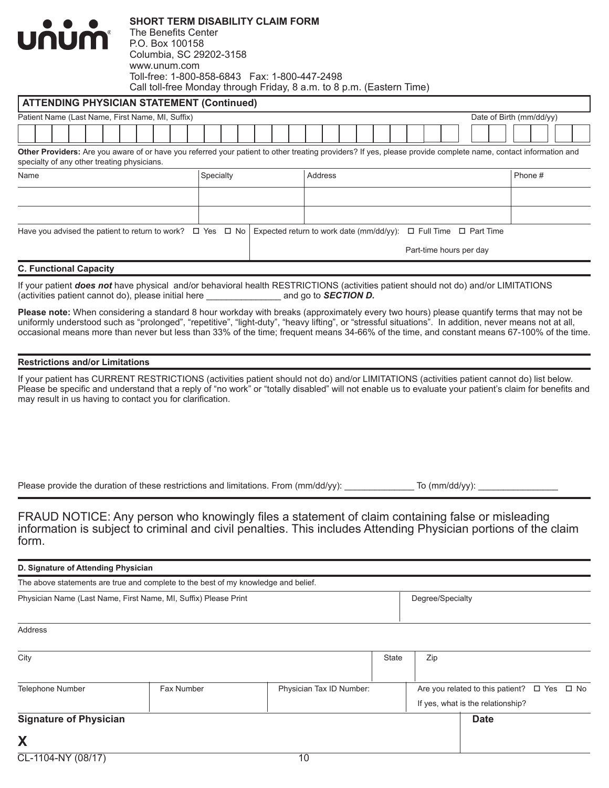| <b>UNUM</b><br>The Benefits Center<br>P.O. Box 100158<br>Columbia, SC 29202-3158<br>www.unum.com                                                                                                              | <b>SHORT TERM DISABILITY CLAIM FORM</b> | Call toll-free Monday through Friday, 8 a.m. to 8 p.m. (Eastern Time)      |                          |
|---------------------------------------------------------------------------------------------------------------------------------------------------------------------------------------------------------------|-----------------------------------------|----------------------------------------------------------------------------|--------------------------|
| <b>ATTENDING PHYSICIAN STATEMENT (Continued)</b>                                                                                                                                                              |                                         |                                                                            |                          |
| Patient Name (Last Name, First Name, MI, Suffix)                                                                                                                                                              |                                         |                                                                            | Date of Birth (mm/dd/yy) |
|                                                                                                                                                                                                               |                                         |                                                                            |                          |
| Other Providers: Are you aware of or have you referred your patient to other treating providers? If yes, please provide complete name, contact information and<br>specialty of any other treating physicians. |                                         |                                                                            |                          |
| Name                                                                                                                                                                                                          | Specialty                               | <b>Address</b>                                                             | Phone #                  |
|                                                                                                                                                                                                               |                                         |                                                                            |                          |
|                                                                                                                                                                                                               |                                         |                                                                            |                          |
| Have you advised the patient to return to work? $\Box$ Yes $\Box$ No                                                                                                                                          |                                         | Expected return to work date (mm/dd/yy): $\Box$ Full Time $\Box$ Part Time |                          |
|                                                                                                                                                                                                               |                                         | Part-time hours per day                                                    |                          |

#### **C. Functional Capacity**

If your patient *does not* have physical and/or behavioral health RESTRICTIONS (activities patient should not do) and/or LIMITATIONS (activities patient should not do) and/or LIMITATIONS (activities patient cannot do), ple (activities patient cannot do), please initial here \_\_\_\_\_\_\_\_\_\_\_\_\_\_\_ and go to *SECTION D.*

**Please note:** When considering a standard 8 hour workday with breaks (approximately every two hours) please quantify terms that may not be uniformly understood such as "prolonged", "repetitive", "light-duty", "heavy lifting", or "stressful situations". In addition, never means not at all, occasional means more than never but less than 33% of the time; frequent means 34-66% of the time, and constant means 67-100% of the time.

#### **Restrictions and/or Limitations**

If your patient has CURRENT RESTRICTIONS (activities patient should not do) and/or LIMITATIONS (activities patient cannot do) list below. Please be specific and understand that a reply of "no work" or "totally disabled" will not enable us to evaluate your patient's claim for benefits and may result in us having to contact you for clarification.

Please provide the duration of these restrictions and limitations. From (mm/dd/yy): \_\_\_\_\_\_\_\_\_\_\_ To (mm/dd/yy):

FRAUD NOTICE: Any person who knowingly files a statement of claim containing false or misleading information is subject to criminal and civil penalties. This includes Attending Physician portions of the claim form.

| D. Signature of Attending Physician                                                |                  |  |  |  |  |  |  |
|------------------------------------------------------------------------------------|------------------|--|--|--|--|--|--|
| The above statements are true and complete to the best of my knowledge and belief. |                  |  |  |  |  |  |  |
| Physician Name (Last Name, First Name, MI, Suffix) Please Print                    | Degree/Specialty |  |  |  |  |  |  |
| Address                                                                            |                  |  |  |  |  |  |  |

| City                                                       |  | <b>State</b> | Zip |  |                                                       |  |
|------------------------------------------------------------|--|--------------|-----|--|-------------------------------------------------------|--|
|                                                            |  |              |     |  |                                                       |  |
| Fax Number<br>Physician Tax ID Number:<br>Telephone Number |  |              |     |  | Are you related to this patient? $\Box$ Yes $\Box$ No |  |
|                                                            |  |              |     |  | If yes, what is the relationship?                     |  |
| <b>Signature of Physician</b>                              |  |              |     |  | <b>Date</b>                                           |  |
| X                                                          |  |              |     |  |                                                       |  |